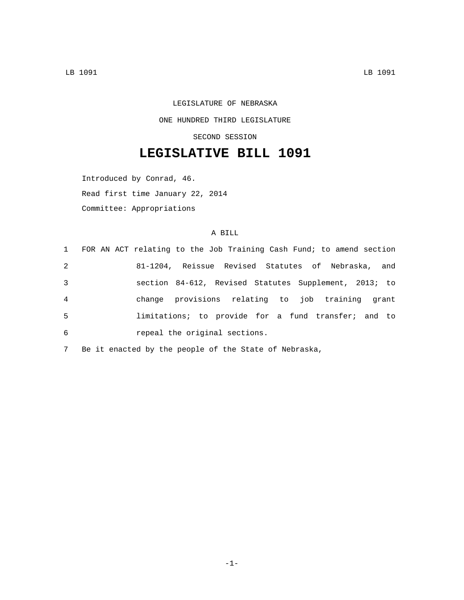## LEGISLATURE OF NEBRASKA ONE HUNDRED THIRD LEGISLATURE SECOND SESSION

## **LEGISLATIVE BILL 1091**

Introduced by Conrad, 46.

Read first time January 22, 2014

Committee: Appropriations

## A BILL

|                | 1 FOR AN ACT relating to the Job Training Cash Fund; to amend section |
|----------------|-----------------------------------------------------------------------|
| 2              | 81-1204, Reissue Revised Statutes of Nebraska, and                    |
| 3              | section 84-612, Revised Statutes Supplement, 2013; to                 |
| $\overline{4}$ | change provisions relating to job training grant                      |
| $5^{\circ}$    | limitations; to provide for a fund transfer; and to                   |
| 6              | repeal the original sections.                                         |

7 Be it enacted by the people of the State of Nebraska,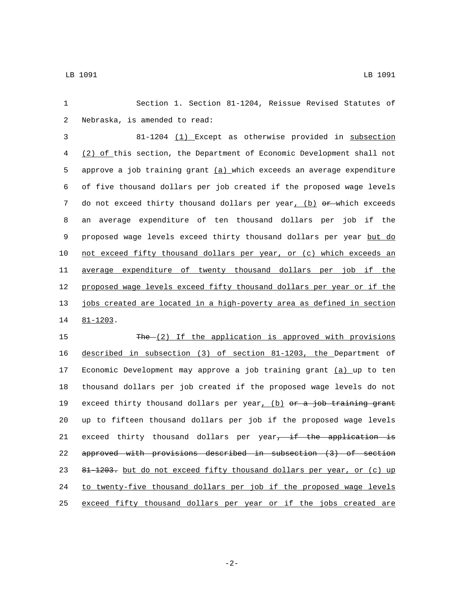1 Section 1. Section 81-1204, Reissue Revised Statutes of 2 Nebraska, is amended to read: 3 81-1204 (1) Except as otherwise provided in subsection 4 (2) of this section, the Department of Economic Development shall not 5 approve a job training grant  $(a)$  which exceeds an average expenditure 6 of five thousand dollars per job created if the proposed wage levels 7 do not exceed thirty thousand dollars per year, (b) or which exceeds 8 an average expenditure of ten thousand dollars per job if the 9 proposed wage levels exceed thirty thousand dollars per year but do 10 not exceed fifty thousand dollars per year, or (c) which exceeds an 11 average expenditure of twenty thousand dollars per job if the 12 proposed wage levels exceed fifty thousand dollars per year or if the 13 jobs created are located in a high-poverty area as defined in section 14 81-1203. 15 The (2) If the application is approved with provisions 16 described in subsection (3) of section 81-1203, the Department of 17 Economic Development may approve a job training grant (a) up to ten 18 thousand dollars per job created if the proposed wage levels do not 19 exceed thirty thousand dollars per year, (b) or a job training grant 20 up to fifteen thousand dollars per job if the proposed wage levels 21 exceed thirty thousand dollars per year<del>, if the application is</del> 22 approved with provisions described in subsection (3) of section

23 81-1203. but do not exceed fifty thousand dollars per year, or (c) up 24 to twenty-five thousand dollars per job if the proposed wage levels 25 exceed fifty thousand dollars per year or if the jobs created are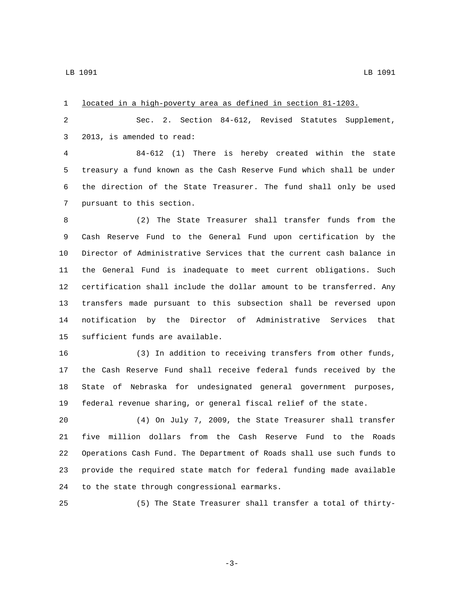| 1  | located in a high-poverty area as defined in section 81-1203.         |
|----|-----------------------------------------------------------------------|
| 2  | Sec. 2. Section 84-612, Revised Statutes Supplement,                  |
| 3  | 2013, is amended to read:                                             |
| 4  | 84-612 (1) There is hereby created within the state                   |
| 5  | treasury a fund known as the Cash Reserve Fund which shall be under   |
| 6  | the direction of the State Treasurer. The fund shall only be used     |
| 7  | pursuant to this section.                                             |
| 8  | (2) The State Treasurer shall transfer funds from the                 |
| 9  | Cash Reserve Fund to the General Fund upon certification by the       |
| 10 | Director of Administrative Services that the current cash balance in  |
| 11 | the General Fund is inadequate to meet current obligations. Such      |
| 12 | certification shall include the dollar amount to be transferred. Any  |
| 13 | transfers made pursuant to this subsection shall be reversed upon     |
| 14 | notification by the Director of Administrative Services that          |
| 15 | sufficient funds are available.                                       |
| 16 | (3) In addition to receiving transfers from other funds,              |
| 17 | the Cash Reserve Fund shall receive federal funds received by the     |
| 18 | State of Nebraska for undesignated general government purposes,       |
| 19 | federal revenue sharing, or general fiscal relief of the state.       |
| 20 | (4) On July 7, 2009, the State Treasurer shall transfer               |
| 21 | five<br>million dollars from the Cash Reserve Fund to the Roads       |
| 22 | Operations Cash Fund. The Department of Roads shall use such funds to |
| 23 | provide the required state match for federal funding made available   |
| 24 | to the state through congressional earmarks.                          |

(5) The State Treasurer shall transfer a total of thirty-

-3-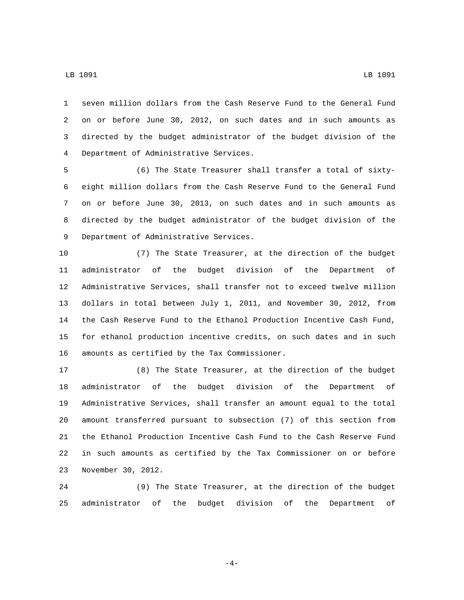seven million dollars from the Cash Reserve Fund to the General Fund

 on or before June 30, 2012, on such dates and in such amounts as directed by the budget administrator of the budget division of the Department of Administrative Services.4

 (6) The State Treasurer shall transfer a total of sixty- eight million dollars from the Cash Reserve Fund to the General Fund on or before June 30, 2013, on such dates and in such amounts as directed by the budget administrator of the budget division of the 9 Department of Administrative Services.

 (7) The State Treasurer, at the direction of the budget administrator of the budget division of the Department of Administrative Services, shall transfer not to exceed twelve million dollars in total between July 1, 2011, and November 30, 2012, from the Cash Reserve Fund to the Ethanol Production Incentive Cash Fund, for ethanol production incentive credits, on such dates and in such 16 amounts as certified by the Tax Commissioner.

 (8) The State Treasurer, at the direction of the budget administrator of the budget division of the Department of Administrative Services, shall transfer an amount equal to the total amount transferred pursuant to subsection (7) of this section from the Ethanol Production Incentive Cash Fund to the Cash Reserve Fund in such amounts as certified by the Tax Commissioner on or before 23 November 30, 2012.

 (9) The State Treasurer, at the direction of the budget administrator of the budget division of the Department of

LB 1091 LB 1091

-4-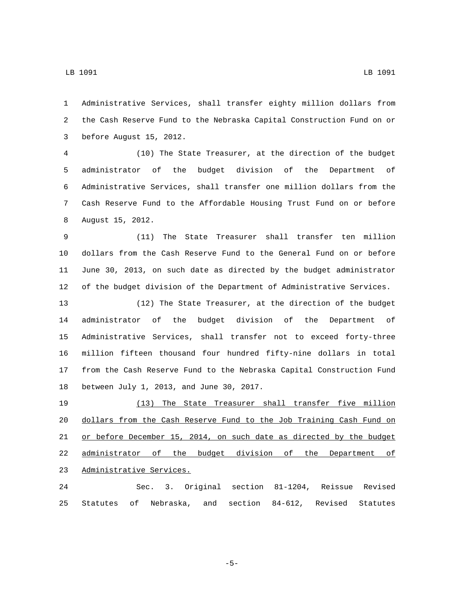Administrative Services, shall transfer eighty million dollars from the Cash Reserve Fund to the Nebraska Capital Construction Fund on or 3 before August 15, 2012.

 (10) The State Treasurer, at the direction of the budget administrator of the budget division of the Department of Administrative Services, shall transfer one million dollars from the Cash Reserve Fund to the Affordable Housing Trust Fund on or before 8 August 15, 2012.

 (11) The State Treasurer shall transfer ten million dollars from the Cash Reserve Fund to the General Fund on or before June 30, 2013, on such date as directed by the budget administrator of the budget division of the Department of Administrative Services.

 (12) The State Treasurer, at the direction of the budget administrator of the budget division of the Department of Administrative Services, shall transfer not to exceed forty-three million fifteen thousand four hundred fifty-nine dollars in total from the Cash Reserve Fund to the Nebraska Capital Construction Fund 18 between July 1, 2013, and June 30, 2017.

 (13) The State Treasurer shall transfer five million dollars from the Cash Reserve Fund to the Job Training Cash Fund on or before December 15, 2014, on such date as directed by the budget administrator of the budget division of the Department of 23 Administrative Services.

 Sec. 3. Original section 81-1204, Reissue Revised Statutes of Nebraska, and section 84-612, Revised Statutes

-5-